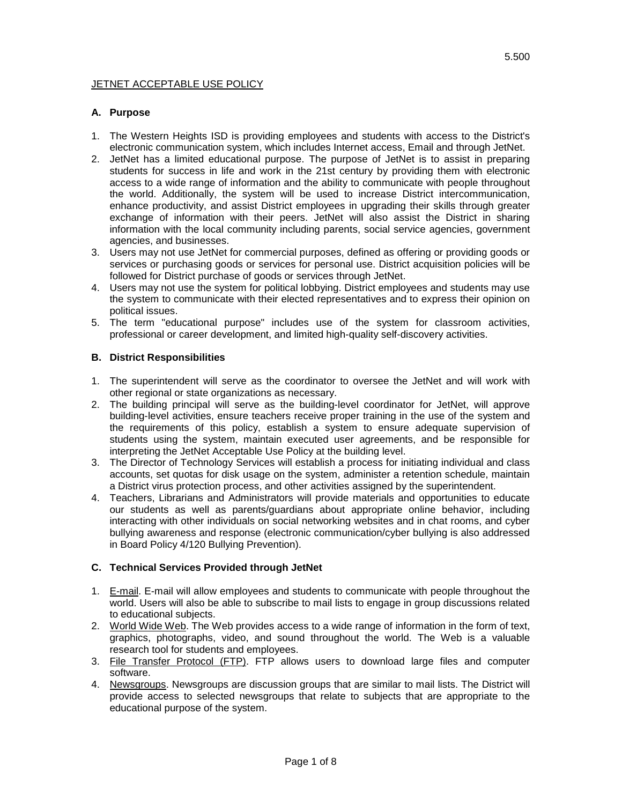#### **JETNET ACCEPTABLE USE POLICY**

## **A. Purpose**

- 1. The Western Heights ISD is providing employees and students with access to the District's electronic communication system, which includes Internet access, Email and through JetNet.
- 2. JetNet has a limited educational purpose. The purpose of JetNet is to assist in preparing students for success in life and work in the 21st century by providing them with electronic access to a wide range of information and the ability to communicate with people throughout the world. Additionally, the system will be used to increase District intercommunication, enhance productivity, and assist District employees in upgrading their skills through greater exchange of information with their peers. JetNet will also assist the District in sharing information with the local community including parents, social service agencies, government agencies, and businesses.
- 3. Users may not use JetNet for commercial purposes, defined as offering or providing goods or services or purchasing goods or services for personal use. District acquisition policies will be followed for District purchase of goods or services through JetNet.
- 4. Users may not use the system for political lobbying. District employees and students may use the system to communicate with their elected representatives and to express their opinion on political issues.
- 5. The term "educational purpose" includes use of the system for classroom activities, professional or career development, and limited high-quality self-discovery activities.

## **B. District Responsibilities**

- 1. The superintendent will serve as the coordinator to oversee the JetNet and will work with other regional or state organizations as necessary.
- 2. The building principal will serve as the building-level coordinator for JetNet, will approve building-level activities, ensure teachers receive proper training in the use of the system and the requirements of this policy, establish a system to ensure adequate supervision of students using the system, maintain executed user agreements, and be responsible for interpreting the JetNet Acceptable Use Policy at the building level.
- 3. The Director of Technology Services will establish a process for initiating individual and class accounts, set quotas for disk usage on the system, administer a retention schedule, maintain a District virus protection process, and other activities assigned by the superintendent.
- 4. Teachers, Librarians and Administrators will provide materials and opportunities to educate our students as well as parents/guardians about appropriate online behavior, including interacting with other individuals on social networking websites and in chat rooms, and cyber bullying awareness and response (electronic communication/cyber bullying is also addressed in Board Policy 4/120 Bullying Prevention).

#### **C. Technical Services Provided through JetNet**

- 1. E-mail. E-mail will allow employees and students to communicate with people throughout the world. Users will also be able to subscribe to mail lists to engage in group discussions related to educational subjects.
- 2. World Wide Web. The Web provides access to a wide range of information in the form of text, graphics, photographs, video, and sound throughout the world. The Web is a valuable research tool for students and employees.
- 3. File Transfer Protocol (FTP). FTP allows users to download large files and computer software.
- 4. Newsgroups. Newsgroups are discussion groups that are similar to mail lists. The District will provide access to selected newsgroups that relate to subjects that are appropriate to the educational purpose of the system.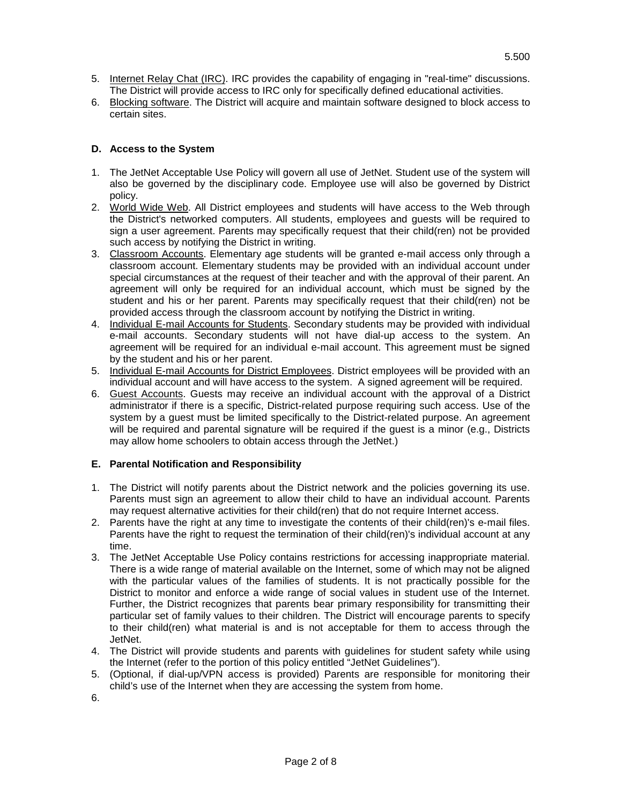- 5. Internet Relay Chat (IRC). IRC provides the capability of engaging in "real-time" discussions. The District will provide access to IRC only for specifically defined educational activities.
- 6. Blocking software. The District will acquire and maintain software designed to block access to certain sites.

## **D. Access to the System**

- 1. The JetNet Acceptable Use Policy will govern all use of JetNet. Student use of the system will also be governed by the disciplinary code. Employee use will also be governed by District policy.
- 2. World Wide Web. All District employees and students will have access to the Web through the District's networked computers. All students, employees and guests will be required to sign a user agreement. Parents may specifically request that their child(ren) not be provided such access by notifying the District in writing.
- 3. Classroom Accounts. Elementary age students will be granted e-mail access only through a classroom account. Elementary students may be provided with an individual account under special circumstances at the request of their teacher and with the approval of their parent. An agreement will only be required for an individual account, which must be signed by the student and his or her parent. Parents may specifically request that their child(ren) not be provided access through the classroom account by notifying the District in writing.
- 4. Individual E-mail Accounts for Students. Secondary students may be provided with individual e-mail accounts. Secondary students will not have dial-up access to the system. An agreement will be required for an individual e-mail account. This agreement must be signed by the student and his or her parent.
- 5. Individual E-mail Accounts for District Employees. District employees will be provided with an individual account and will have access to the system. A signed agreement will be required.
- 6. Guest Accounts. Guests may receive an individual account with the approval of a District administrator if there is a specific, District-related purpose requiring such access. Use of the system by a guest must be limited specifically to the District-related purpose. An agreement will be required and parental signature will be required if the guest is a minor (e.g., Districts may allow home schoolers to obtain access through the JetNet.)

## **E. Parental Notification and Responsibility**

- 1. The District will notify parents about the District network and the policies governing its use. Parents must sign an agreement to allow their child to have an individual account. Parents may request alternative activities for their child(ren) that do not require Internet access.
- 2. Parents have the right at any time to investigate the contents of their child(ren)'s e-mail files. Parents have the right to request the termination of their child(ren)'s individual account at any time.
- 3. The JetNet Acceptable Use Policy contains restrictions for accessing inappropriate material. There is a wide range of material available on the Internet, some of which may not be aligned with the particular values of the families of students. It is not practically possible for the District to monitor and enforce a wide range of social values in student use of the Internet. Further, the District recognizes that parents bear primary responsibility for transmitting their particular set of family values to their children. The District will encourage parents to specify to their child(ren) what material is and is not acceptable for them to access through the JetNet.
- 4. The District will provide students and parents with guidelines for student safety while using the Internet (refer to the portion of this policy entitled "JetNet Guidelines").
- 5. (Optional, if dial-up/VPN access is provided) Parents are responsible for monitoring their child's use of the Internet when they are accessing the system from home.
- 6.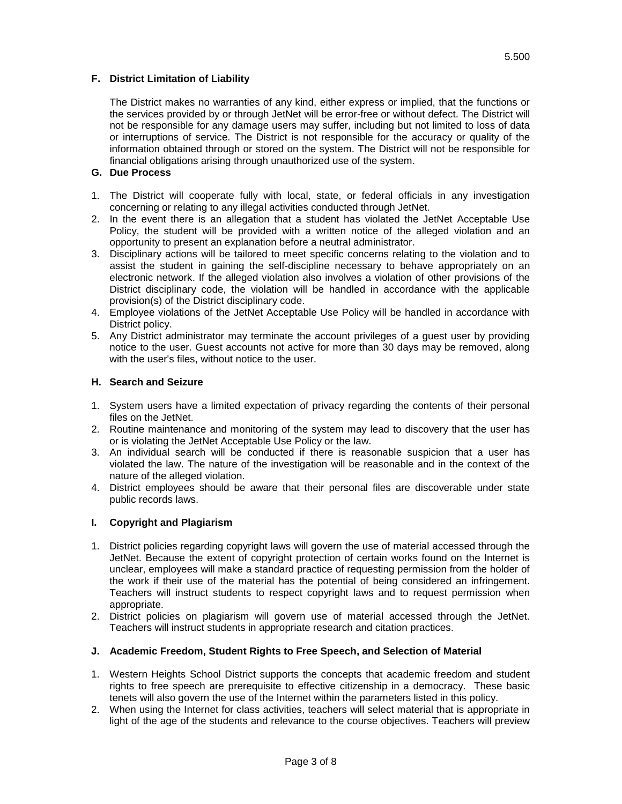## **F. District Limitation of Liability**

The District makes no warranties of any kind, either express or implied, that the functions or the services provided by or through JetNet will be error-free or without defect. The District will not be responsible for any damage users may suffer, including but not limited to loss of data or interruptions of service. The District is not responsible for the accuracy or quality of the information obtained through or stored on the system. The District will not be responsible for financial obligations arising through unauthorized use of the system.

### **G. Due Process**

- 1. The District will cooperate fully with local, state, or federal officials in any investigation concerning or relating to any illegal activities conducted through JetNet.
- 2. In the event there is an allegation that a student has violated the JetNet Acceptable Use Policy, the student will be provided with a written notice of the alleged violation and an opportunity to present an explanation before a neutral administrator.
- 3. Disciplinary actions will be tailored to meet specific concerns relating to the violation and to assist the student in gaining the self-discipline necessary to behave appropriately on an electronic network. If the alleged violation also involves a violation of other provisions of the District disciplinary code, the violation will be handled in accordance with the applicable provision(s) of the District disciplinary code.
- 4. Employee violations of the JetNet Acceptable Use Policy will be handled in accordance with District policy.
- 5. Any District administrator may terminate the account privileges of a guest user by providing notice to the user. Guest accounts not active for more than 30 days may be removed, along with the user's files, without notice to the user.

### **H. Search and Seizure**

- 1. System users have a limited expectation of privacy regarding the contents of their personal files on the JetNet.
- 2. Routine maintenance and monitoring of the system may lead to discovery that the user has or is violating the JetNet Acceptable Use Policy or the law.
- 3. An individual search will be conducted if there is reasonable suspicion that a user has violated the law. The nature of the investigation will be reasonable and in the context of the nature of the alleged violation.
- 4. District employees should be aware that their personal files are discoverable under state public records laws.

#### **I. Copyright and Plagiarism**

- 1. District policies regarding copyright laws will govern the use of material accessed through the JetNet. Because the extent of copyright protection of certain works found on the Internet is unclear, employees will make a standard practice of requesting permission from the holder of the work if their use of the material has the potential of being considered an infringement. Teachers will instruct students to respect copyright laws and to request permission when appropriate.
- 2. District policies on plagiarism will govern use of material accessed through the JetNet. Teachers will instruct students in appropriate research and citation practices.

#### **J. Academic Freedom, Student Rights to Free Speech, and Selection of Material**

- 1. Western Heights School District supports the concepts that academic freedom and student rights to free speech are prerequisite to effective citizenship in a democracy. These basic tenets will also govern the use of the Internet within the parameters listed in this policy.
- 2. When using the Internet for class activities, teachers will select material that is appropriate in light of the age of the students and relevance to the course objectives. Teachers will preview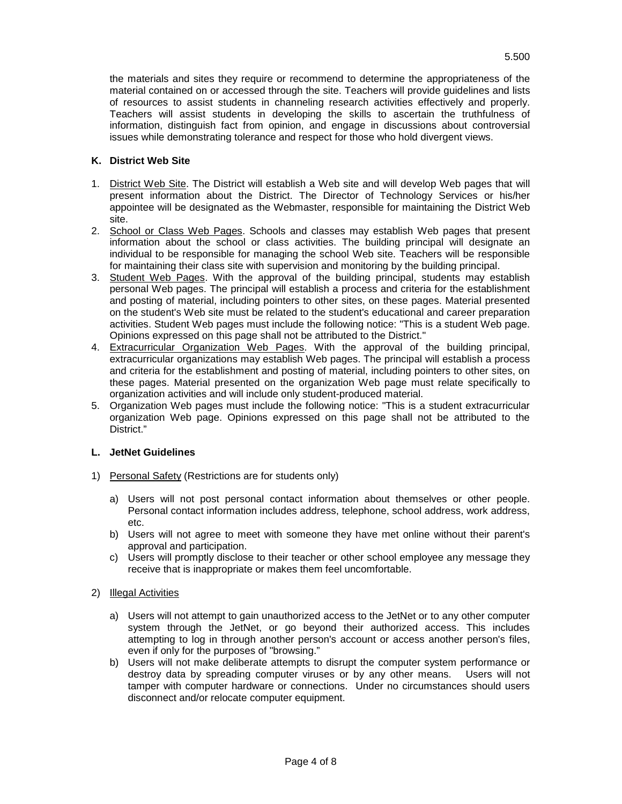the materials and sites they require or recommend to determine the appropriateness of the material contained on or accessed through the site. Teachers will provide guidelines and lists of resources to assist students in channeling research activities effectively and properly. Teachers will assist students in developing the skills to ascertain the truthfulness of information, distinguish fact from opinion, and engage in discussions about controversial issues while demonstrating tolerance and respect for those who hold divergent views.

# **K. District Web Site**

- 1. District Web Site. The District will establish a Web site and will develop Web pages that will present information about the District. The Director of Technology Services or his/her appointee will be designated as the Webmaster, responsible for maintaining the District Web site.
- 2. School or Class Web Pages. Schools and classes may establish Web pages that present information about the school or class activities. The building principal will designate an individual to be responsible for managing the school Web site. Teachers will be responsible for maintaining their class site with supervision and monitoring by the building principal.
- 3. Student Web Pages. With the approval of the building principal, students may establish personal Web pages. The principal will establish a process and criteria for the establishment and posting of material, including pointers to other sites, on these pages. Material presented on the student's Web site must be related to the student's educational and career preparation activities. Student Web pages must include the following notice: "This is a student Web page. Opinions expressed on this page shall not be attributed to the District."
- 4. Extracurricular Organization Web Pages. With the approval of the building principal, extracurricular organizations may establish Web pages. The principal will establish a process and criteria for the establishment and posting of material, including pointers to other sites, on these pages. Material presented on the organization Web page must relate specifically to organization activities and will include only student-produced material.
- 5. Organization Web pages must include the following notice: "This is a student extracurricular organization Web page. Opinions expressed on this page shall not be attributed to the District."

## **L. JetNet Guidelines**

- 1) Personal Safety (Restrictions are for students only)
	- a) Users will not post personal contact information about themselves or other people. Personal contact information includes address, telephone, school address, work address, etc.
	- b) Users will not agree to meet with someone they have met online without their parent's approval and participation.
	- c) Users will promptly disclose to their teacher or other school employee any message they receive that is inappropriate or makes them feel uncomfortable.
- 2) Illegal Activities
	- a) Users will not attempt to gain unauthorized access to the JetNet or to any other computer system through the JetNet, or go beyond their authorized access. This includes attempting to log in through another person's account or access another person's files, even if only for the purposes of "browsing."
	- b) Users will not make deliberate attempts to disrupt the computer system performance or destroy data by spreading computer viruses or by any other means. Users will not tamper with computer hardware or connections. Under no circumstances should users disconnect and/or relocate computer equipment.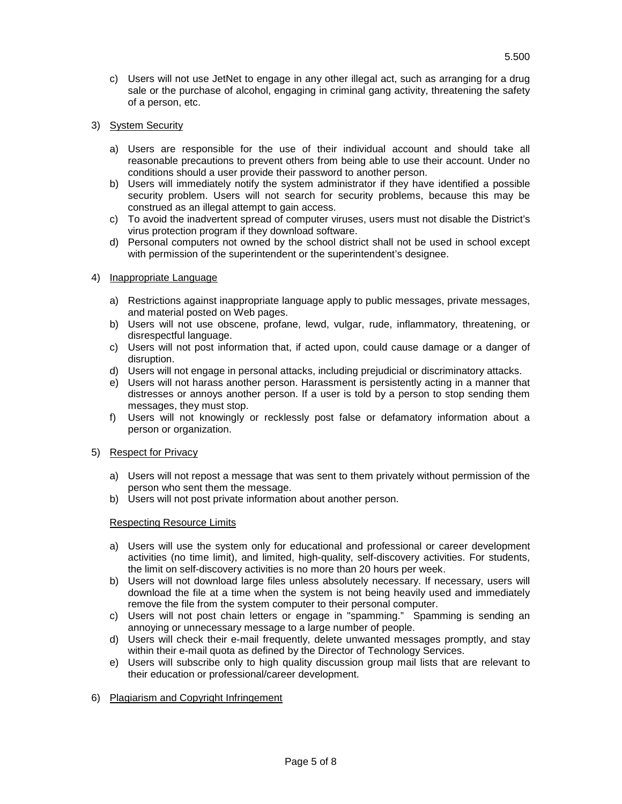- c) Users will not use JetNet to engage in any other illegal act, such as arranging for a drug sale or the purchase of alcohol, engaging in criminal gang activity, threatening the safety of a person, etc.
- 3) System Security
	- a) Users are responsible for the use of their individual account and should take all reasonable precautions to prevent others from being able to use their account. Under no conditions should a user provide their password to another person.
	- b) Users will immediately notify the system administrator if they have identified a possible security problem. Users will not search for security problems, because this may be construed as an illegal attempt to gain access.
	- c) To avoid the inadvertent spread of computer viruses, users must not disable the District's virus protection program if they download software.
	- d) Personal computers not owned by the school district shall not be used in school except with permission of the superintendent or the superintendent's designee.

#### 4) Inappropriate Language

- a) Restrictions against inappropriate language apply to public messages, private messages, and material posted on Web pages.
- b) Users will not use obscene, profane, lewd, vulgar, rude, inflammatory, threatening, or disrespectful language.
- c) Users will not post information that, if acted upon, could cause damage or a danger of disruption.
- d) Users will not engage in personal attacks, including prejudicial or discriminatory attacks.
- e) Users will not harass another person. Harassment is persistently acting in a manner that distresses or annoys another person. If a user is told by a person to stop sending them messages, they must stop.
- f) Users will not knowingly or recklessly post false or defamatory information about a person or organization.

#### 5) Respect for Privacy

- a) Users will not repost a message that was sent to them privately without permission of the person who sent them the message.
- b) Users will not post private information about another person.

#### Respecting Resource Limits

- a) Users will use the system only for educational and professional or career development activities (no time limit), and limited, high-quality, self-discovery activities. For students, the limit on self-discovery activities is no more than 20 hours per week.
- b) Users will not download large files unless absolutely necessary. If necessary, users will download the file at a time when the system is not being heavily used and immediately remove the file from the system computer to their personal computer.
- c) Users will not post chain letters or engage in "spamming." Spamming is sending an annoying or unnecessary message to a large number of people.
- d) Users will check their e-mail frequently, delete unwanted messages promptly, and stay within their e-mail quota as defined by the Director of Technology Services.
- e) Users will subscribe only to high quality discussion group mail lists that are relevant to their education or professional/career development.
- 6) Plagiarism and Copyright Infringement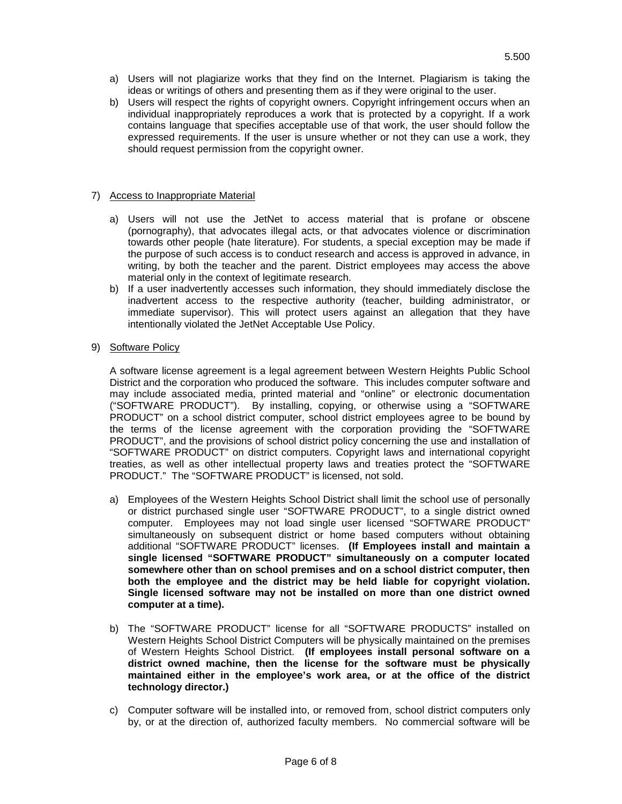b) Users will respect the rights of copyright owners. Copyright infringement occurs when an individual inappropriately reproduces a work that is protected by a copyright. If a work contains language that specifies acceptable use of that work, the user should follow the expressed requirements. If the user is unsure whether or not they can use a work, they should request permission from the copyright owner.

# 7) Access to Inappropriate Material

- a) Users will not use the JetNet to access material that is profane or obscene (pornography), that advocates illegal acts, or that advocates violence or discrimination towards other people (hate literature). For students, a special exception may be made if the purpose of such access is to conduct research and access is approved in advance, in writing, by both the teacher and the parent. District employees may access the above material only in the context of legitimate research.
- b) If a user inadvertently accesses such information, they should immediately disclose the inadvertent access to the respective authority (teacher, building administrator, or immediate supervisor). This will protect users against an allegation that they have intentionally violated the JetNet Acceptable Use Policy.
- 9) Software Policy

A software license agreement is a legal agreement between Western Heights Public School District and the corporation who produced the software. This includes computer software and may include associated media, printed material and "online" or electronic documentation ("SOFTWARE PRODUCT"). By installing, copying, or otherwise using a "SOFTWARE PRODUCT" on a school district computer, school district employees agree to be bound by the terms of the license agreement with the corporation providing the "SOFTWARE PRODUCT", and the provisions of school district policy concerning the use and installation of "SOFTWARE PRODUCT" on district computers. Copyright laws and international copyright treaties, as well as other intellectual property laws and treaties protect the "SOFTWARE PRODUCT." The "SOFTWARE PRODUCT" is licensed, not sold.

- a) Employees of the Western Heights School District shall limit the school use of personally or district purchased single user "SOFTWARE PRODUCT", to a single district owned computer. Employees may not load single user licensed "SOFTWARE PRODUCT" simultaneously on subsequent district or home based computers without obtaining additional "SOFTWARE PRODUCT" licenses. **(If Employees install and maintain a single licensed "SOFTWARE PRODUCT" simultaneously on a computer located somewhere other than on school premises and on a school district computer, then both the employee and the district may be held liable for copyright violation. Single licensed software may not be installed on more than one district owned computer at a time).**
- b) The "SOFTWARE PRODUCT" license for all "SOFTWARE PRODUCTS" installed on Western Heights School District Computers will be physically maintained on the premises of Western Heights School District. **(If employees install personal software on a district owned machine, then the license for the software must be physically maintained either in the employee's work area, or at the office of the district technology director.)**
- c) Computer software will be installed into, or removed from, school district computers only by, or at the direction of, authorized faculty members. No commercial software will be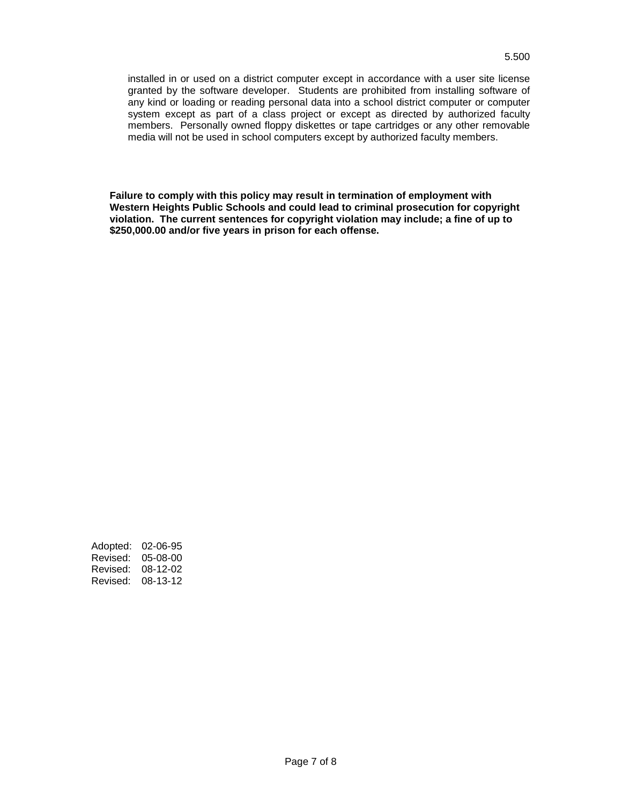**Failure to comply with this policy may result in termination of employment with Western Heights Public Schools and could lead to criminal prosecution for copyright violation. The current sentences for copyright violation may include; a fine of up to \$250,000.00 and/or five years in prison for each offense.**

Adopted: 02-06-95 Revised: 05-08-00 Revised: 08-12-02 Revised: 08-13-12